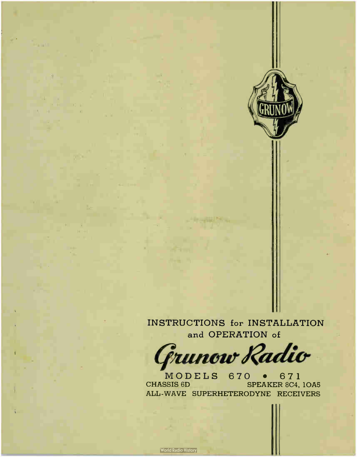

INSTRUCTIONS for INSTALLATION and OPERATION of

Grunow Radio

MODELS 670 · 671<br>CHASSIS 6D SPEAKER 8C4. SPEAKER 8C4, 1OA5 ALL- WAVE SUPERHETERODYNE RECEIVERS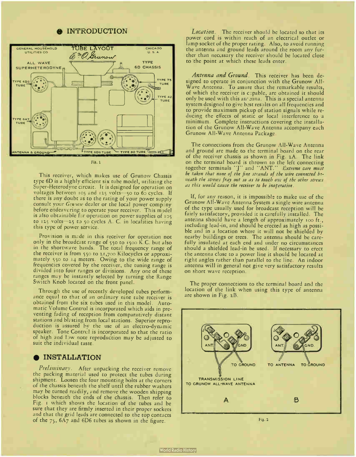## **INTRODUCTION**



Fig. 1

This receiver, which makes use of Grunow Chassis type 6D is a highly efficient six tube model, utilizing the Super-Heterodyne circuit. It is designed for operation on voltages between ros and 12\_5 volts-5o to 6o cycles. If there is any doubt as to the rating of your power supply consult your Gruncw dealer or the local power company before endeavering to operate your receiver. This model is also obtainable for operation on power supplies of 105 to  $125$  volts-25 to 50 cycles A. C. in localities having this type of power service.

Provision is mcde in this receiver for operation not only in the broadcast range of 55o to rsoo K.C. but also in the shortwave bands. The total frequency range of the receiver is from  $550$  to  $21,700$  Kilocycles or approximately 55o to 14 meters. Owing to the wide range of frequencies covered by the receiver, the tuning range is divided into four ranges or divisions. Any one of these ranges may be instantly selected by turning the Range Switch Knob located on the front panel.

Through the use of recently developed tubes performance equal to that of an ordinary nine tube receiver is obtained from the six tubes used in this model. Automatic Volume Control is incorporated which aids in preventing fading of reception from comparatively distant stations and blasting from local stations. Superior reproduction is assured by the use of an electro-dynamic speaker. Tone Control is incorporated so that the ratio of high and low note reproduction may be adjusted to suit the individual taste.

#### $\bullet$  INSTALLATION

Preliminary. After unpacking the receiver remove the packing material used to protect the tubes during shipment. Loosen the four mounting bolts at the corners of the chassis beneath the shelf until the rubber washers may be turned readily, and remove the wooden shipping blocks beneath the ends of the chassis. Then refer to Fig. r which shows the location of the tubes and be sure that they are firmly inserted in their proper sockets and that the grid leads are connected to the top contacts of the  $75$ , 6A7 and 6D6 tubes as shown in the figure.

Location. The receiver should be located so that its power cord is within reach of an electrical outlet or lamp socket of the proper rating. Also, to avoid running the antenna and ground leads around the room any further than necessary the receiver should be located close to the point at which these leads enter.

Antenna and Ground. This receiver has been designed to operate in conjunction with the Grunow All-Wave Antenna. To assure that the remarkable results, of which the receiver is capable, are obtained it should<br>only be used with this an<sup>.</sup> mna. This is a special antenna system designed to give best results on all frequencies and to provide maximum pickup of station signals while reducing the effects of static or local interference to a minimum. Complete instructions covering the installation of the Grunow All-Wave Antenna accompany each Grunow All-Wave Antenna Package.

The connections from the Grunow All-Wave Antenna and ground are made to the terminal board on the rear of the receiver chassis as shown in Fig. 2A. The link on the terminal board is thrown to the left connecting together terminals \J \ and \ ANT. Extreme care must be taken that none of the fine strands of the wire connected b? neath the screws fray out so as to touch one of the other screws as this would cause the receiver to be inoperative.

If, for any reason, it is impossible to make use of the Grunow All-Wave Antenna System a single wire antenna of the type usually used for broadcast reception will be fairly satisfactory, provided it is carefully installed. The antenna should have a length of approximately roo ft., including lead-in, and should be erected as high as possible and in a location where it will not be shielded by nearby buildings or trees. The antenna should be carefully insulated at each end and under no circumstances should a shielded lead-in be used. If necessary to erect the antenna close to a power line it should be located at right angles rather than parallel to the line. An indoor antenna will in general not give very satisfactory results on short wave reception.

The proper connections to the terminal board and the location of the link when using this type of antenna are shown in Fig.  $2B$ .

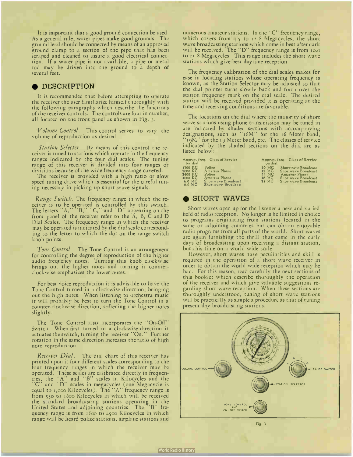It is important that a good ground connection be used. As a general rule, water pipes make good grounds. The ground lead should be connected by means of an approved ground clamp to a section of the pipe that has been scraped and cleaned to insure a good electrical connection. If a water pipe is not available, a pipe or metal rod may be driven into the ground to a depth of several feet.

### • DESCRIPTION

It is recommended that before attempting to operate the receiver the user familiarize himself thoroughly with the following paragraphs which describe the functions of the receiver controls. The controls are four in number, all located on the front panel as shown in Fig. 3.

Volume Control. This control serves to vary the volume of reproduction as desired.

Station Selector. By means of this control the receiver is tuned to stations which operate in the frequency ranges indicated by the four dial scales. The tuning range of this receiver is divided into four ranges or divisions because of the wide frequency range covered.

The receiver is provided with a high ratio or slow speed tuning drive which is essential for the careful tuning necessary in picking up short wave signals.

Range Switch. The frequency range in which the receiver is to be operated is controlled by this switch. The letters  $A$ ,  $B$ ,  $C$ , and  $D$  appearing on the front panel of the receiver refer to the  $\tilde{A}$ ,  $B$ ,  $\tilde{C}$  and  $D$ Dial Scales. The frequency range in which the receiver may be operated is indicated by the dial scale corresponding to the letter to which the dot on the range switch knob points.

Tone Control. The Tone Control is an arrangement for controlling the degree of reproduction of the higher audio frequency notes. Turning this knob clockwise brings out the higher notes and turning it counterclockwise emphasizes the lower notes.

For best voice reproduction it is advisable to have the Tone Control turned in a clockwise direction, bringing out the high notes. When listening to orchestra music it will probably be best to turn the Tone Control in a counter-clockwise direction, softening the higher notes slightly.

The Tone Control also incorporates the "On-Off" Switch. When first turned in a clockwise direction it actuates the switch, turning the receiver "On." Further rotation in the same direction increases the ratio of high note reproduction.

Receiver Dial. The dial chart of this receiver has printed upon it four different scales corresponding to the four frequency ranges in which the receiver may be operated. These scales are calibrated directly in frequencies, the "A" and "B" scales in Kilocycles and the "C" and "D" scales in megacycles (one Megacycle is equal to  $1, \circ \circ \circ$  Kilocycles). The  $\Lambda$  -frequency range is from 550 to 1600 Kilocycles in which will be received the standard broadcasting stations operating in the United States and adjoining countries. The "B" frequency range is from 1600 to 45co Kilocycles in which range will be heard police stations, airplane stations and

numerous amateur stations. In the "C" frequency range, which covers from 4.5 to 12.8 Megacycles, the short wave broadcasting stations which come in best after dark will be received. The "D" frequency range is from  $10.0$ to 21.8 Megacycles. This range includes the short wave stations which give best daytime reception.

The frequency calibration of the dial scales makes for ease in locating stations whose operating frequency is known, as the Station Selector may be adjusted so that the dial pointer turns slowly back and forth over the station frequency mark on the dial scale. The desired station will be received provided it is operating at the time and receiving conditions are favorable.

The locations on the dial where the majority of short wave stations using phone transmission may be tuned in are indicated by shaded sections with accompanying designations, such as " i6M - for the 16 Meter band, 19M - for the 19 Meter band, etc. The classes of service indicated by the shaded sections on the dial are as listed below:

| Approx, freq. Class of Service                                                                                                                                            | Approx. freq. Class of Service                                                                                                                                  |
|---------------------------------------------------------------------------------------------------------------------------------------------------------------------------|-----------------------------------------------------------------------------------------------------------------------------------------------------------------|
| on dial                                                                                                                                                                   | on dial                                                                                                                                                         |
| 1700 KC<br>Police<br><b>Amateur Phone</b><br>2000 KC<br>2400 KC<br>Police<br>Amateur Phone<br>4000 KC<br>Shortwaye Broadcast<br>$6.0$ MC<br>8.0 MC<br>Shortwave Broadcast | 10 MC<br><b>Shortwave Broadcast</b><br>12 MC<br>Shortwave Broadcast<br>14 MC<br>Amateur Phone<br>18 MC<br>Shortwaye Broadcast<br>$21$ MC<br>Shortwave Broadcast |

### **• SHORT WAVES**

Short waves open up for the listener a new and varied field of radio reception. No longer is he limited in choice to programs originating from stations located in the same or adjoining countries but can obtain enjoyable radio programs from all parts of the world. Short waves are again furnishing the thrill that came in the early days of broadcasting upon receiving a distant station, but this time on a world wide scale.

However, short waves have peculiarities and skill is required in the operation of a short wave receiver in order to obtain the world wide reception which may be had. For this reason, read carefully the next sections of this booklet which describe thoroughly the operation of the receiver and which give valuable suggestions regarding short wave reception. When these sections are thoroughly understood, tuning of short wave stations will be practically as simple a procedure as that of tuning present day broadcasting stations.



Fis. 3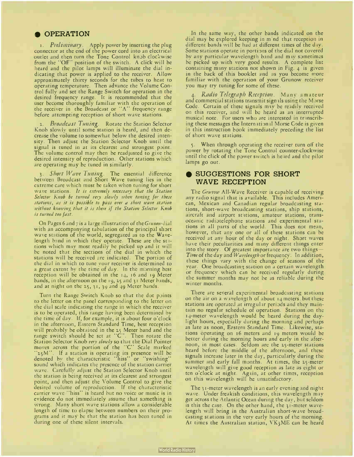## **OPERATION**

1. Preliminary. Apply power by inserting the plug connector at the end of the power cord into an electrical outlet and then turn the Tone Control knob clockwise from the "Off" position of the switch. A click will be heard and the pilot lamps will illuminate the dial indicating that power is applied to the receiver. Allow approximately thirty seconds for the tubes to heat to operating temperature. Then advance the Volume Control fully and set the Range Switch for operation in the desired frequency range. It is recommended that the user become thoroughly familiar with the operation of the receiver in the Broadcast or " A" frequency range before attempting reception of short wave stations.

Broadcast Tuning. Rotate the Station Selector Knob slowly until some station is heard, and then decrease the volume to somewhat below the desired intensity. Then adjust the Station Selector Knob until the signal is tuned in at its clearest and strongest point. The volume control may then be readjusted to give the desired intensity of reproduction. Other stations which are operating may be tuned in similarly.

3. S*hort* Wave Tuning. The essential difference between Broadcast and Short Wave tuning lies in the extreme care which must be taken when tuning for short wave stations. It is extremely necessary that the Station Selector Knob be turned very slowly when tuning for these stations, as it is possible to pass over a short wave station without knowing that it is there if the Station Selector Knob is turned too fast.

On Pages 6 and  $\frac{1}{7}$  is a large illustration of the *Grunow* dial with an accompanying tabulation of the principal short wave stations of the world, segregated as to the Wavelength band in which they operate. These are the stations which may most readily be picked up and it will be noted that the sections of the dial in which the stations will be received are indicated. The portion of the dial in which to tune your receiver is determined to a great extent by the time of day. In the morning best reception will be obtained in the 14, 16 and 19 Meter bands, in the afternoon on the 19, 25 and 31 Meter bands, and at night on the  $25$ ,  $31$ ,  $39$  and  $49$  Meter bands.

Turn the Range Switch Knob so that the dot points to the letter on the panel corresponding to the letter on the dial scale indicating the range in which the receiver is to be operated, this range having been determined by the time of day. If, for example, it is about four o'clock in the afternoon, Eistern Standard Time, best reception will probably be obtained in the 15 Meter band and the range switch should be set at  $\mathbb C$  . Then rotate the Station Selector Knob very slowly so that the Dial Pointer moves across the portion of the U Scale marked "25M". If a station is operating its presence will be denoted by the characteristic " hiss" or " swishing" is sound which indicates the presence of the station carrier wave. Carefully adjust the Station Selector Knob until the station is being received at its clearest and strongest point, and then adjust the Volume Control to give the desired volume of reproduction. If the characteristic carrier wave " hiss" is heard but no voice or music is in evidence do not immediately assume that something is wrong. Many short wave stations allow a considerable length of time to elapse between numbers on their programs and it may be that the station has been tuned in during one of these silent intervals.

In the same way, the other bands indicated on the dial may be explored keeping in m'nd that reception in different bands will be had at different times of the day. Some stations operate in portions of the dial not covered by any particular wavelength band and may sometimes be picked up with very good results. A complete list containing many stations not shown in Fig. 4 is given in the back of this booklet and as you become more familiar with the operation of your Grunow receiver you may try tuning for some of these.

Radio Telegraph Reception. Many amateur and commercial stations transmit sign ils using the Morse Code. Certain of these signals may be readily received on this receiver, and will be heard as an interrupted musical note. For users who are interested in tr mscribing these messages the International Morse Code is given in this instruction book immediately preceding the list of short wave stations.

5. When through operating the receiver turn off the power by rotating the Tone Control counter-clockwise until the click of the power switch is heard and the pilot lamps go out.

## **• SUGGESTIONS FOR SHORT** WAVE RECEPTION

The Grange All-Wave Receiver is capable of receiving any radio signal that is available. This includes American, Mexican and Canadian regular broadcasting stations, short-wave broadcasting stations, ship stations, aircraft and airport stations, amateur stations, transoceanic radiotelephone stations and experimental stations in all parts of the world. This does not mean, however, that any one or all of these stations can be received at any hour of the day or night. Short waves have their peculiarities and many different things enter into the story. Of greatest importance are two things— Time of the day and Wavelength or frequency. In addition, these things vary with the change of seasons of the year. One broadcasting station on a certain wavelength or frequency which can be received regularly during the summer months may not be as reliable during the winter months.

There are several experimental broadcasting stations on the air on a wavelength of about 14 meters, but these stations are operated at irregular periods and they maintain no regular schedule of operation. Stations on the 14-meter wavelength would be heard during the daylight hours, especially during the morning and perhaps as late as noon, Eastern Standard Time. Likewise, stations operating on 16 meters and 19 meters would be better during the morning hours and early in the afternoon, in most cases. Seldom are the 15-meter stations heard before the middle of the afternoon, and these signals increase later in the day, particularly during the summer and early fall months. At times, the  $2_5$ -meter wavelength will give good reception as late as eight or ten o'clock at night. Again, at other times, reception on this wavelength will be unsatisfactory.

The 3i-meter wavelength is an early evening and night wave. Under freakish conditions, this wavelength may get across the Atlantic Ocean during the day, but seldom is this the case. On the other hand, the 31-meter wavelength will bring in the Australian short-wave broadcasting st ations in the very early hours of the morning. At times the Australian station, VK3ME can be heard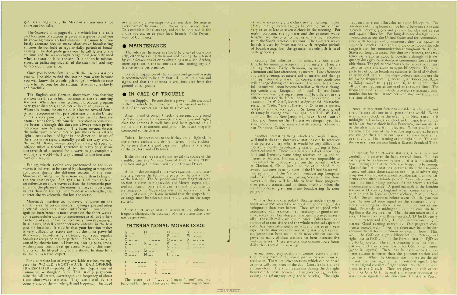gal uses a bugle call; the Mexican station uses three short cuckoo calls.

The Grunow dial on pages 6 and 7 which list the calls and locations of stations is given as a guide to aid you in knowing where to find stations. It cannot be absolutely accurate because many short-wave broadcasting stations do not hold to regular daily periods of broadcasting. The dial guide gives you the call letters of the stations and the wave-length range most generally used when the station is on the air. It is not to be misconstrued as indicating that all of the stations listed may be received at any time.

Once you become familiar with the various stations you will be able to find the station you want because you will know the wavelength range in which to tune and when to tune for the station. Always tune slowly and carefully.

The English and German short-wave broadcasting stations use directive beam antennas at the transmitting stations. When they want to direct a broadcast program over great distances, the directive beam antenna is used. When the beam, for example, is directed toward South Africa, reception of that particular station in the United States is very poor. But, when they use the directive beam antenna for North America, reception is considerably better, although this does not always mean perfect reception from that station. The beam antenna directs the radio wave in one direction just the same as a flashlight directs a beam of light in one direction. Many of the short-wave signals actually go all the way around the world. Radio waves travel at a rate of speed of 186,000 miles a second, therefore it takes only about one-seventh of a second for a wave to go completely around the world—half way around in one-fourteenth part of a second.

The tubes in the receiver should be checked occasionally, either by taking them out and having them tested by your *Grunow* dealer or by obtaining a new set of tubes, inserting them in the set one at a time, noting any difference in the performance.

Fading, which is often very pronounced on the short waves is believed to be caused by changing atmospheric conditions during the different seasons of the year. Short-wave fading usually is more rapid than fading on the broadcast range. Sunlight also is believed to have an influence on short waves as does the barometric pressure and the phases of the moon. Static, in most cases, is less than on the regular broadcast wavelengths; the shorter the wavelength, the less the static.

Tubes. Inspect tubes to see if they are all lighted, in the correct sockets and firmly inserted in the sockets. Make sure that the grid caps are in place on the tops of the  $75$ ,  $6A7$  and  $6D5$  tubes.

If the above three tests do not reveal the source of the trouble, turn the Volume Control Knob to the "Off" position and get in touch with your *Grunow* Dealer.

Man-made interference, however, is worse on the short waves. Street car motors, flashing signs and other electrical appli in zes cluse interference. Automobile ignition interference is mach worse on the short waves. Some automobiles cause no interference at all and others can be heard several hundred feet away from the receiver. In all cases, install your shortwave antenna in the best possible location. It may be that your location makes it very difficult to receive any but the most powerful short-wave broadcasting stations, yet your regular broadcast reception may be perfect. Interference may be caused by electric fans, oil burners, heating pads, irons, washing machines and refrigerators. Much of this interference can be filtered out, but it should be done by a skilled radio service expert.

Since short wave station schedules are subject to frequent changes, the accuracy of this Station List cannot be guaranteed.

The letters " $de''$  ( $\ldots$ ) mean "from" and are followed by the call letters of the transmitting station.

**World Radio History** 

For a complete list of every available station, we suggest the WORLD SHORT-WAVE RADIOPHONE TRANSMITTERS—published by the Department of Commerce, Washington, D. C. This list of 96 pages contains the call letters, wavelength and frequency of about 1,400 short-wave stations. They are listed by the country and by the wavelength and frequency. Included

in the book are two maps—one a time chart for time in every part of the world, and the other a distance chart. This complete list costs 25c, and can be obtained at the above address, or at your local branch of the Department of Commerce.

## e MAINTENANCE

Periodic inspection of the antenna and ground system is recommecded to be sure that all joints are clean and tight, and that the antenna is well insulated from the ground at all points.

## e IN CASE OF TROUBLE

Power Supply. Be sure there is power at the electrical outlet in which the connector plug is inserted and that it is of the correct rating for this receiver.

> Why is this the case today? Because modern types of short-wave receivers have reached a higher stage of development than ever before. They are equipped with automatic volume control—so necessary for good shortwave reception. Coil designs have been improved materially—the coils really are low in losses. Tubes have been improved in sensitivity and the whole technical aspect of radio has been advanced over what it was even a year ago. At the short-wave broadcasting stations, likewise, equipment has been made much more efficient and the power of many of these stations has been increased five and ten times. These stations also operate more hours daily than they did a year ago.

> As mentioned previously, you cannot receive any station in any part of the world just when you want to receive it. There are other stations which can be heard at practically any time of the day. Consult the dial and station chart. The aircraft stations during the daylight hours can be heard between  $4.2$  megacycles  $(4,200 \text{ kilo-}$  $\csc$  cycles) and 5.6 megacycles  $(5,600 \text{ kilocycles})$ . The night

Antenna and Ground. Check the antenna and ground to make sure that all connections are clean and tight, that the antenna is well insulated from ground at all points and that antenna and ground leads are properly connected to the chassis.

frequency is  $2,300$  kilocycles to  $3,500$  kilocycles. The amateur radiotelephones can be heard between 1,800 and  $2,000$  kilocycles;  $3,900$  and  $4,000$  kilocycles and  $14,250$ and 14,400 kilocycles. For long distance daylight communication across the United States and for communication with foreign radio amateurs, they use 14,140 to 14,400 kilocycles. At night, the 3,900 to 4,000-kilocycle range is used for communication throughout the United States for long distances. For shorter distances, the amateurs use 1,800 to 1,000 kilocycles although this frequency does give coast-to-coast communication at favorable times. The police broadcasts come in on two ranges,  $1,650$  to  $1,712$  and  $2,400$  to  $2,500$  kilocycles. The complete list of police broadcast stations is listed alphabetically by call letters. The ship-to-shore stations use the following frequencies: 4,100 to 4,410 kilocycles; 8,102. to 8,843; 12,346 to 13,335 and 16,420 to 17,800. Not all of these frequencies are used at the same time. The frequency used is that which provides satisfactory communication for the distance between ship and shore, and the time of day.

A list of the principal short wave stations now operating is given on the following pages for the convenience of the listener. The frequency and wave length of each station is given in Megicycles and Meters respectively, and its location on the dial can be found by comparing its frequency in Megacylces with the receiver dial. It should, of course, be borne in mind that the proper band or range must be selected on the dial and on the range switch.

Another important factor to consider is the time and the difference of time in all parts of the world. When it is seven o'clock in the evening in New York, it is midnight in London, six o'clock in Chicago, five o'clock in Denver, four o'clock in San Francisco, and one-thirty in the afternoon at Honolulu, etc. When you look at the scheduled time of the broadcasting stations, be sure you change the time to correspond to your local time, so that you will be listening at the right hour. The time shown in this instruction book is Eastern Standard Time.

In tuning for short-wave stations, tune slowly and carefully and go over the band several times. You can easily pass by a short-wave station if it is not actually broadcasting right at the time you happen to be tuning. Most of the foreign stations operate to meet their requirements, and since these stations use no paid advertising programs, they are not required to make station announcements every fifteen-minute period. Very often you may hear a station for long periods of time before a station announcement is made. A good example is the London station at Daventry, England which comes on the air at midnight in London (seven o'clock, P.M., in New York). Several minutes before seven o'clock, you can hear the musical tone signal on the  $25$ -meter and  $31$ meter wavelengths—there is no announcement of any kind. Promptly at midnight (London) you can hear Big Ben strike twelve times. Then the ann inncer usually says, "This is London calling—on GSD, 'D' for Daventry on 25.5 meters and GSC, 'C' for Corporation on 31.3 meters—Good evening everybody—Our program commences immediately." Perhaps there may be no further announcements for a half-hour or even an hour. This would be GSD on 11,750 kilocycles ( 15 meters) and right next to GSD you find the German station, DJD on 11,760 kilocycles. The same program which is broadcast on GSD also is broadcast over GSC on 31 meters (9,580 kilocycles). There may be days when the  $25$ meter station is better than the 31-meter station and vice versa. When the German stations are on the air but not broadcasting, they use an interval signal. This interval signal consists of eight notes—try them on your piano in the C scale. They are played in this order: CFFGG A G F. Several short-wave broadcasting stations use signals for identification. CT1AA, at Portu-

## INTERNATIONAL MORSE CODE

| $A_{1} =$ $H_{2} =$ $O_{2} =$ $V_{3} =$<br>$B = \cdots$ $I = \cdots$ $P = \cdots$ W $\cdots$<br>$C = -1$ $\frac{1}{2}$ $\frac{1}{2}$ $\frac{1}{2}$ $\frac{1}{2}$ $\frac{1}{2}$ $\frac{1}{2}$ $\frac{1}{2}$ $\frac{1}{2}$ $\frac{1}{2}$ $\frac{1}{2}$ $\frac{1}{2}$ $\frac{1}{2}$ $\frac{1}{2}$ $\frac{1}{2}$ $\frac{1}{2}$ $\frac{1}{2}$ $\frac{1}{2}$ $\frac{1}{2}$ $\frac{1}{2}$ $\frac{1}{2}$ $\frac{1}{2}$ $\frac{$<br>$D_-\ldots$ K $_{-1}$<br>$E$ . $L$ $S$ $Z$<br>$F \cdot \cdot = \cdot$ $M =  T =$<br>$G_{--}$ $N_{-}$ $U_{+}$ | $R \cdot - \cdot Y - \cdot -$ |             |
|-----------------------------------------------------------------------------------------------------------------------------------------------------------------------------------------------------------------------------------------------------------------------------------------------------------------------------------------------------------------------------------------------------------------------------------------------------------------------------------------------------------------------------------------|-------------------------------|-------------|
| $1.$ $1 - - - -  5.$ $1 - 1$<br>2. $-$ 6. $-$ 0. $-$ - - - -<br>4. _ _ _ _ S. ____                                                                                                                                                                                                                                                                                                                                                                                                                                                      |                               | $9 - - - -$ |

as late as seven or eight o'clock in the morning. Japan, JVM, on 28.92 ir e ers (10,375 kilocycles) can be heard very often as late as seven o'clock in the morning. For night reception, the 39-meter and the 49-meter wavelengths are the ones to use, especially for reception from the South American stations. The 39-meter wavelength is used by fewer stations with irregular periods of broadcasting, but the 49-meter wavelength is used quite generally.

Keeping this information in mind, the best wavelengths for morning reception are 14 meters, 16 meters and 19 meters. Early afternoon, 19 meters. Middle afternoon and late afternoon, 25 meters. Late afternoon and early evening, 25 meters and 31 meters, and then 39 and 49 meters after dark. Of course, these conditions will change during the seasons of the year, but a careful listener will soon become familiar with these changing conditions. Reception of "local" United States short-wave broadcasting stations will be different in the different parts of the United States. For example, when a station like Wi XAZ, located at Springfield, Massachusetts, has "faded" out at Cleveland, Ohio on 31 meters, reception may be very good at St. Louis, Missouri, and this may be during broad daylight. Similarly  $W_3XAL$ , at Bound Brook, New Jersey may have " faded" out at Chicago, Illinois on the 16-meter wavelength, yet that same station will be received with strong volume at San Francisco, California.

Another interesting thing which the careful listener will find is that the short wave stations can be received with perfect clarity when it would be very difficult to receive a nearby broadcasting station during a local electrical storm. There were numerous days when England and Germany were being received on 19 and 25 meters at Marion, Indiana when it was impossible to understand the broadcasting from the powerful WLW at Cincinnati, Ohio—just a couple of hundred miles away. Listeners in many parts of the United States will find programs of the National Broadcasting Company and of the Columbia Broadcasting System on the short waves and they will be to hear those programs over great distances, and at times, possibly, when the Iccal broadcasting station is not broadcasting the same program.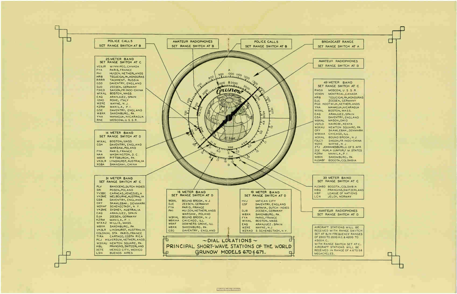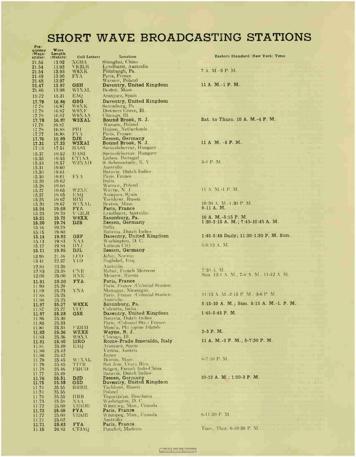# SHORT WAVE BROADCASTING STATIONS

| $F$ re-<br>quency<br>$Mega-$<br>cycles) | Wave<br>Length<br>(Meters) | Call Letters        | Location                                     | Eastern Standard (New York) Time                                                                                                                                                                                                     |
|-----------------------------------------|----------------------------|---------------------|----------------------------------------------|--------------------------------------------------------------------------------------------------------------------------------------------------------------------------------------------------------------------------------------|
| 21.55                                   | 13.92                      | XGBA                |                                              |                                                                                                                                                                                                                                      |
| 21.54                                   | 13.93                      | VK3LR               |                                              |                                                                                                                                                                                                                                      |
| 21.54                                   | 13.93                      | W8XK                |                                              |                                                                                                                                                                                                                                      |
| 21.49                                   | 13.96                      | FYA.                |                                              |                                                                                                                                                                                                                                      |
| 21.48                                   | 13.97                      |                     |                                              |                                                                                                                                                                                                                                      |
| 21.47                                   | 13.97<br>13.98             | <b>GSH</b><br>WIXAL | Daventry, United Kingdom                     |                                                                                                                                                                                                                                      |
| 21.46                                   |                            |                     |                                              |                                                                                                                                                                                                                                      |
| 19.72                                   | 15.21                      | EAQ.                |                                              |                                                                                                                                                                                                                                      |
| 17.79<br>17.78                          | 16.86<br>16.87             | GSG<br>W8NK         |                                              |                                                                                                                                                                                                                                      |
| 17.78                                   | 16.87                      | W9NF                |                                              |                                                                                                                                                                                                                                      |
| 17.78                                   | 16.87                      | W9XAA               |                                              |                                                                                                                                                                                                                                      |
| 17.78                                   | 16.87                      | W3XAL               |                                              | Bound Brook, N. J. Sat. to Thurs. 10 A. M. 4 P. M. Narsaw, Poland N. M. Sat. to Thurs. 10 A. M. 4 P. M.                                                                                                                              |
| 17.78                                   | 16.87                      |                     |                                              |                                                                                                                                                                                                                                      |
| 17.78                                   | 16.88<br>16.88             | РШ<br>FYA           |                                              | the contract of the contract of the contract of the contract of                                                                                                                                                                      |
| 17.77<br>17.76                          | 16.89                      | <b>DJE</b>          |                                              |                                                                                                                                                                                                                                      |
| 17.31                                   | 17.33                      | W3XAI               |                                              |                                                                                                                                                                                                                                      |
| 17.13                                   | 17.51                      | <b>HAS5</b>         |                                              |                                                                                                                                                                                                                                      |
| 15.37                                   | 19.52                      | <b>HAS3</b>         |                                              |                                                                                                                                                                                                                                      |
| 15.35                                   | 19.53                      | <b>CTIAA</b>        |                                              |                                                                                                                                                                                                                                      |
| 15.33                                   | 19.57                      | W2XAD               |                                              |                                                                                                                                                                                                                                      |
| 15.31<br>15.30                          | 19.60<br>19.61             |                     |                                              |                                                                                                                                                                                                                                      |
| 15.30                                   | 19.61                      | FYA.                |                                              |                                                                                                                                                                                                                                      |
| 15.29                                   | 19.62                      |                     |                                              | India adaptation of the coupled to the contract processes a management of the contract                                                                                                                                               |
| 15.28                                   | 19.64                      |                     |                                              | والتعاوية المتحدد القارب التالية التالية والموارد والمواردة                                                                                                                                                                          |
| 15.27                                   | 19.65                      | W2NE                |                                              |                                                                                                                                                                                                                                      |
| 15.27<br>15.25                          | 19.65<br>19.67             | EAQ.<br>RIM         |                                              |                                                                                                                                                                                                                                      |
| 15.20                                   | 19.67                      | WIXAL               |                                              |                                                                                                                                                                                                                                      |
| 15.24                                   | 19.68                      | <b>FYA</b>          |                                              | Paris, France.<br>Lyndhurst, Australia                                                                                                                                                                                               |
| 15.23                                   | 19.70                      | V K3LR              |                                              |                                                                                                                                                                                                                                      |
| 15.21                                   | 19.72                      | W8XK                |                                              |                                                                                                                                                                                                                                      |
| 15.20<br>15.16                          | 19.74<br>19.79             | DJB                 |                                              | India accessorial processes and the contract contract of the contract contract to provide the                                                                                                                                        |
| 15.15                                   | 19.80                      |                     |                                              | Batavia. Dutch Indies and a contract of the contract of the contract of the contract of the contract of the contract of the contract of the contract of the contract of the contract of the contract of the contract of the co       |
| 15.14                                   | 19.82                      | GSF                 | Daventry, United Kingdom and Manusch         | 1:45-5:45 Daily; 11:30-1:30 P. M. Sun.                                                                                                                                                                                               |
| 15.13                                   | 19.83                      | $N\Lambda$          |                                              |                                                                                                                                                                                                                                      |
| 15.12                                   | 19.84                      | HVJ.                |                                              |                                                                                                                                                                                                                                      |
| 15.11                                   | 19.85                      | DJL                 |                                              |                                                                                                                                                                                                                                      |
| 13.98<br>13.41                          | 21.46<br>22.37             | U(0)<br>Y I D       |                                              |                                                                                                                                                                                                                                      |
| 12.84                                   | 23.36                      |                     |                                              | والمحامل والمتحدث والمتحدث والمتحدث والمتحدث والمتحدث والمتحدث والمتحدث                                                                                                                                                              |
| 12.83                                   | 23.38                      | <b>CNR</b>          |                                              |                                                                                                                                                                                                                                      |
| 12.00                                   | 25.00                      | <b>RNE</b>          |                                              |                                                                                                                                                                                                                                      |
| 11.91                                   | 25.20                      | <b>FYA</b>          |                                              | a car en el comunicación de la carreira de la carreira                                                                                                                                                                               |
| 11.90                                   | 25.20                      |                     | Paris, France (Colonial Station) and all all | a calculated based and announcement and construct                                                                                                                                                                                    |
| 11.89                                   | 25.23                      | YNA                 |                                              | Managua, Nicaragua<br>Paris, France (Colonial Statien)<br>2008 - 11:15 A. M.-2:15 P. M.: 3-6 P. M.                                                                                                                                   |
| 11.88<br>11.SS                          | 25.25<br>25.25             |                     |                                              |                                                                                                                                                                                                                                      |
| 11.87                                   | 25.27                      | W8XK                |                                              | 5:15-10 A. M.; Sun. 5:15 A. M.-1. P. M.                                                                                                                                                                                              |
| 11.87                                   | 25.27                      | VU C                |                                              | وتبديد وتنتجب والمتحدث والمتحدث اللال وأورق                                                                                                                                                                                          |
| 11.87                                   | 25.28                      | GSE                 | Daventry, United Kingdom                     | 1.45-5.45 P. M.                                                                                                                                                                                                                      |
| 11.86                                   | 25.30<br>25.33             |                     |                                              | the contract of the contract of the contract of the contract of the contract of the contract of the contract of<br>al la casa con la casa con concerna a conservazione                                                               |
| 11.85<br>11.84                          | 25.34                      | FZRM                | Mani'a, Phi ippine Islands and all           | the production of the production of the complete service of the service of the complete service of the complete service of the complete service of the complete service of the complete service of the complete service of the       |
| 11.83                                   | 25.36                      | <b>WZXE</b>         | Wayne, N. J.                                 |                                                                                                                                                                                                                                      |
| 11.83                                   | 25.36                      | W9XA                |                                              | 11 A. M.-2 P. M.; 5-7:30 P. M.                                                                                                                                                                                                       |
| 11.81                                   | 25.40                      | <b>I2RO</b>         | Rome-Prado Smeraldo, Italy                   |                                                                                                                                                                                                                                      |
| 11.81                                   | 25.40<br>25.42             | EAQ.                |                                              | بالمتحدث والمتحدث والمتحدث والمتحدث والمتحدث<br>and the company of the property and the company of                                                                                                                                   |
| 11.80<br>11.80                          | 25.42                      |                     |                                              | of the first community of the community of the                                                                                                                                                                                       |
| 11.79                                   | 25.45                      | WIXAL               |                                              |                                                                                                                                                                                                                                      |
| 11.79                                   | 25.45                      | TITR                | San Jese, Cesta Rica (1999)                  | and the community of the community of the community of the community of the community of the community of the community of the community of the community of the community of the community of the community of the community        |
| 11.78                                   | 25.46                      | F31CD               | Saigon, French Indo-China.                   | and a complete the community concentration<br>ووودوه والمتحدث والمتحدث والوارد والمناطق والمراوي والمتحدث                                                                                                                            |
| 11.77<br>11.76                          | 25.49<br>25.51             | <b>DJD</b>          |                                              | 10-12 A. M.; 1:20-3 P. M.                                                                                                                                                                                                            |
| 11.75                                   | 25.58                      | <b>GSD</b>          |                                              | and a market the common state interest.                                                                                                                                                                                              |
| 11.74                                   | 25.55                      | RRRR                |                                              | and the communication of the communication of the communication                                                                                                                                                                      |
| 11.74                                   | 25.55                      |                     |                                              |                                                                                                                                                                                                                                      |
| 11.74                                   | 25.55                      | HRB                 |                                              | the contract of the companion of the contract of the companion of the contract of the companion of the contract of the companion of the contract of the companion of the contract of the companion of the contract of the cont       |
| 11.73<br>11.72                          | 25.58<br>25.60             | NAA<br>VE9DR        |                                              | فعلمته والمتحدث والمتحدث والمتحدث والمتحدث والمتحدث والمتحدث والمتحدث والمتحدث                                                                                                                                                       |
| 11.72                                   | 25.60                      | <b>FYA</b>          |                                              | <u> 1980an - Johann Johann Johann Johann Johann Johann Johann Johann Johann Johann Johann Johann Johann Johann Johann Johann Johann Johann Johann Johann Johann Johann Johann Johann Johann Johann Johann Johann Johann Johann J</u> |
| 11.72                                   | 25.60                      | VE9JR               |                                              |                                                                                                                                                                                                                                      |
| 11.71                                   | 25.62                      |                     |                                              | addition and contract the process of a contract of the                                                                                                                                                                               |
| 11.71                                   | 25.63                      | <b>FYA</b>          |                                              | the common and international products and control                                                                                                                                                                                    |
| 11.18                                   | 26.83                      | CT3AQ               |                                              |                                                                                                                                                                                                                                      |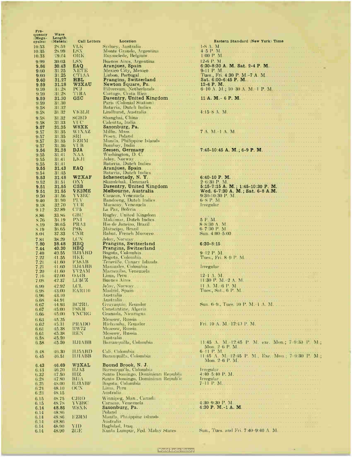| <b>LIQ-</b><br>quency<br>$Mega-$ | Wave<br>Length       |                            |                                                                              |                                                                                                                                                                                                                                                                                                                                                                                                                                                                            |
|----------------------------------|----------------------|----------------------------|------------------------------------------------------------------------------|----------------------------------------------------------------------------------------------------------------------------------------------------------------------------------------------------------------------------------------------------------------------------------------------------------------------------------------------------------------------------------------------------------------------------------------------------------------------------|
| cycles)                          | (Meters)             | Call Letters               | Location                                                                     | Eastern Standard (New York) Time                                                                                                                                                                                                                                                                                                                                                                                                                                           |
| 10.53                            | 28.50                | VLK                        |                                                                              |                                                                                                                                                                                                                                                                                                                                                                                                                                                                            |
| 10.35<br>10.33                   | 28.99<br>29.04       | LSX<br>ORK                 | Monte Grande, Argentina<br>Ruysselede, Belgium                               |                                                                                                                                                                                                                                                                                                                                                                                                                                                                            |
| 9.99                             | 30.03                | LSN                        | Buenos Aires, Argentina.                                                     |                                                                                                                                                                                                                                                                                                                                                                                                                                                                            |
| 9.86                             | 30.43                | <b>EAQ</b>                 | Aranjuez, Spain                                                              | 6:30-8:30 A. M. Sat. 2-4 P. M.                                                                                                                                                                                                                                                                                                                                                                                                                                             |
| 9.60                             | 31.25                | XETE                       |                                                                              |                                                                                                                                                                                                                                                                                                                                                                                                                                                                            |
| 9.60<br>9.60                     | 31.25<br>31.27       | <b>CTIAA</b><br><b>HBL</b> | Lisbon, Portugal<br>Prangins, Switzerland.                                   | Tues., Fri. 4:30 P. M.–7 A. M.<br>Sat. 6:00-6:45 P. M.                                                                                                                                                                                                                                                                                                                                                                                                                     |
| 9.59                             | 31.28                | <b>W3XAU</b>               | Newton Square, Pa.                                                           | 12-6 P. M.                                                                                                                                                                                                                                                                                                                                                                                                                                                                 |
| 9.59                             | 31.28<br>31.28       | PCJ                        | Cartago, Cesta Rica                                                          | 6-10 A. M.; 10-30 A. M. 1 P. M.                                                                                                                                                                                                                                                                                                                                                                                                                                            |
| 9.59<br>9.59                     | 31.30                | TIRA<br>GSC                | Daventry, United Kingdom                                                     | 11 A. M. - 6 P. M.                                                                                                                                                                                                                                                                                                                                                                                                                                                         |
| 9.59                             | 31.30                |                            | Paris (Colonial Station)                                                     |                                                                                                                                                                                                                                                                                                                                                                                                                                                                            |
| 9.58                             | 31.32                |                            | Batavia. Dutch Indies<br>Lindhurst, Australia                                |                                                                                                                                                                                                                                                                                                                                                                                                                                                                            |
| 9.58<br>9.58                     | 31.32<br>31.32       | VK3LR<br>SGBD              |                                                                              |                                                                                                                                                                                                                                                                                                                                                                                                                                                                            |
| 9.58                             | 31.33                | <b>VUC</b>                 | Calcutta, India                                                              |                                                                                                                                                                                                                                                                                                                                                                                                                                                                            |
| 9.57                             | 31.35                | W8XK                       | Saxonburg, Pa.                                                               |                                                                                                                                                                                                                                                                                                                                                                                                                                                                            |
| 9.57                             | 31.35<br>31.35       | WIXAZ<br>SRI               | Posen, Poland                                                                |                                                                                                                                                                                                                                                                                                                                                                                                                                                                            |
| 9.57<br>9.57                     | 31.35                | <b>FZRM</b>                |                                                                              |                                                                                                                                                                                                                                                                                                                                                                                                                                                                            |
| 9.57                             | 31.36                | VUB                        |                                                                              | $7:45-10:45$ A. M., $6-9$ P. M.                                                                                                                                                                                                                                                                                                                                                                                                                                            |
| 9.56                             | 31.38<br>31.41       | <b>DJA</b><br>NAA          | Zeesen, Germany                                                              |                                                                                                                                                                                                                                                                                                                                                                                                                                                                            |
| 9.55<br>9.55                     | 31.41                | LKJ1                       | Jeloy, Norway                                                                |                                                                                                                                                                                                                                                                                                                                                                                                                                                                            |
| 9.55                             | 31.41                |                            | Batavia. Dutch Indies.                                                       |                                                                                                                                                                                                                                                                                                                                                                                                                                                                            |
| 9.55<br>9.54                     | 31.43<br>31.45       | EAQ                        | Batavia, Dutch Indies                                                        |                                                                                                                                                                                                                                                                                                                                                                                                                                                                            |
| 9.53                             | 31.48                | WZXAF                      |                                                                              | 6:40-10 P. M.                                                                                                                                                                                                                                                                                                                                                                                                                                                              |
| 9.52                             | 31.51                | ONY                        | Skamlebak, Denmark                                                           | 2 6:30 P. M.                                                                                                                                                                                                                                                                                                                                                                                                                                                               |
| 9.51                             | 31.55<br>31.55       | GSB<br>V K3ME              | Daventry, United Kingdom<br>Melbourne, Australia                             | $5:15-7:15$ A. M.; 1:45-10:30 P. M.<br>Wed. 6-7:30 A. M.; Sat. 6-8 A.M.                                                                                                                                                                                                                                                                                                                                                                                                    |
| 9.51<br>9.50                     | 31.56                | YA3EC                      |                                                                              |                                                                                                                                                                                                                                                                                                                                                                                                                                                                            |
| 9.40                             | 31.90                | PLV.                       | Bandoeng, Dutch Indics.                                                      |                                                                                                                                                                                                                                                                                                                                                                                                                                                                            |
| 9.18                             | 32.70<br>32.89       | YUR<br>CP <sub>5</sub>     |                                                                              |                                                                                                                                                                                                                                                                                                                                                                                                                                                                            |
| 9.12<br>8.86                     | 33.86                | GBC                        | Rugby, United Kingdom                                                        |                                                                                                                                                                                                                                                                                                                                                                                                                                                                            |
| 8.76                             | 34.19                | PNI                        | Makassar, Dutch Indies.                                                      |                                                                                                                                                                                                                                                                                                                                                                                                                                                                            |
| 8.19                             | 36.65                | <b>PRA3</b>                | Rio de Janeiro, Brazil                                                       |                                                                                                                                                                                                                                                                                                                                                                                                                                                                            |
| 8.19<br>8.04                     | 36.65<br>37.33       | PSK<br><b>CNR</b>          | Maracipu, Brazil<br>Rabat, French Morocco                                    |                                                                                                                                                                                                                                                                                                                                                                                                                                                                            |
| 7.81                             | 38.29                | LCN.                       |                                                                              |                                                                                                                                                                                                                                                                                                                                                                                                                                                                            |
| 7.80                             | 38.48                | <b>HBQ</b>                 | Prangins, Switzerland                                                        |                                                                                                                                                                                                                                                                                                                                                                                                                                                                            |
| 7.44                             | 40.30                | <b>HBQ</b>                 | <b>Prangins, Switzerland Prangins</b> , <b>Switzerland</b>                   |                                                                                                                                                                                                                                                                                                                                                                                                                                                                            |
| 7.40<br>7.22                     | 40.55<br>$-11.55$    | <b>HJ3ABD</b><br>HKE       | Bogota, Colombia<br><u>.</u><br>Bogota, Colombia<br>a politica de la provi   |                                                                                                                                                                                                                                                                                                                                                                                                                                                                            |
| 7.21                             | 41.60                | FA8AB                      | Teneride, Canary Islands<br>design a control of the con-                     |                                                                                                                                                                                                                                                                                                                                                                                                                                                                            |
| 7.21                             | $-11.60$             | 11.J4.ABB<br>YV2AM         | Manizales, Colombia                                                          |                                                                                                                                                                                                                                                                                                                                                                                                                                                                            |
| 7.20<br>7.16                     | 41.60<br>42.00       | 0.14B                      |                                                                              | a participa de la característica de la proposició de la característica de la característica de la característic                                                                                                                                                                                                                                                                                                                                                            |
| 7.08                             | 42.37                | LT5CZ                      |                                                                              |                                                                                                                                                                                                                                                                                                                                                                                                                                                                            |
| 6.99                             | 42.92                | LC L                       |                                                                              |                                                                                                                                                                                                                                                                                                                                                                                                                                                                            |
| 6.98<br>6.96                     | 43.00<br>43.10       | <b>EAR110</b>              | Australia                                                                    |                                                                                                                                                                                                                                                                                                                                                                                                                                                                            |
| 6.68                             | 44.91                |                            | Australia                                                                    | $\mathcal{L}^{\mathcal{A}}\left(\mathcal{A}^{\mathcal{A}}\right)=\mathcal{L}^{\mathcal{A}}\left(\mathcal{A}^{\mathcal{A}}\right)=\mathcal{L}^{\mathcal{A}}\left(\mathcal{A}^{\mathcal{A}}\right)=\mathcal{L}^{\mathcal{A}}\left(\mathcal{A}^{\mathcal{A}}\right)=\mathcal{L}^{\mathcal{A}}\left(\mathcal{A}^{\mathcal{A}}\right)=\mathcal{L}^{\mathcal{A}}\left(\mathcal{A}^{\mathcal{A}}\right)=\mathcal{L}^{\mathcal{A}}\left(\mathcal{A}^{\mathcal{A}}\right)=\mathcal$ |
| 6.67                             | 44.93                | BC2RL                      |                                                                              |                                                                                                                                                                                                                                                                                                                                                                                                                                                                            |
| 6.67<br>6.66                     | 45.00<br>45.00       | F8KR.<br><b>YNCRG</b>      | Constantine, Algeria.                                                        |                                                                                                                                                                                                                                                                                                                                                                                                                                                                            |
| 6.63                             | 15.25                |                            | Meseow, Russia                                                               |                                                                                                                                                                                                                                                                                                                                                                                                                                                                            |
| 6.62                             | 45.31                | PRADO                      |                                                                              | Fri. 10 A. M. 12:40 P. M. B. M. Communication of the Post of Allen                                                                                                                                                                                                                                                                                                                                                                                                         |
| 6.61                             | 15.38                | RW72                       |                                                                              |                                                                                                                                                                                                                                                                                                                                                                                                                                                                            |
| 6.61<br>6.58                     | 45.38<br>45.59       | REN                        | Meseow, Russia<br>Australia                                                  |                                                                                                                                                                                                                                                                                                                                                                                                                                                                            |
| 6.58                             | 45.59                | HJLABB                     | Barranquilla, Colombia.                                                      | 11:45 A. M. 12:45 P. M. exc. Mon.; 7-9:30 P. M.;                                                                                                                                                                                                                                                                                                                                                                                                                           |
|                                  |                      |                            |                                                                              |                                                                                                                                                                                                                                                                                                                                                                                                                                                                            |
| 6.48<br>6.45                     | $-46.30$<br>$-46.51$ | 11.15.ABD<br>НЛ АВВ        | Baranquilla, Colombia                                                        | 11:45 A. M. 12:15 P. M., Fxc. Mon.; 7 9:30 P. M.;                                                                                                                                                                                                                                                                                                                                                                                                                          |
|                                  |                      |                            |                                                                              |                                                                                                                                                                                                                                                                                                                                                                                                                                                                            |
| 6.43                             | 46.69                | W3XAL                      | Bound Brook, N. J.<br>the company of the company of the company              |                                                                                                                                                                                                                                                                                                                                                                                                                                                                            |
| 6.13<br>6.32                     | 46.70<br>17.50       | 11J <sub>3</sub><br>HIZ    | Barranqui'la, Colombia<br>a na s<br>Santo Domingo, Dominican Republic (1991) |                                                                                                                                                                                                                                                                                                                                                                                                                                                                            |
| 6.28                             | 47.80                | BHA                        | Santo Domingo, Dominican Republic<br><b>Service</b>                          |                                                                                                                                                                                                                                                                                                                                                                                                                                                                            |
| 6.25                             | 48.00                | HJ3ABF                     |                                                                              |                                                                                                                                                                                                                                                                                                                                                                                                                                                                            |
| 6.21<br>6.23                     | 48.10<br>48.15       | O(N)                       | Lima Peru                                                                    |                                                                                                                                                                                                                                                                                                                                                                                                                                                                            |
| 6.15                             | 48.75                | CJRO                       |                                                                              |                                                                                                                                                                                                                                                                                                                                                                                                                                                                            |
| 6.15                             | 48.78                | YV3BC                      |                                                                              | <b>Contractor</b>                                                                                                                                                                                                                                                                                                                                                                                                                                                          |
| 6.14<br>6.14                     | 48.86<br>48.86       | W8XK                       | Saxonburg, Pa. $\ldots$ . $\ldots$ . $\ldots$ . $\ldots$                     |                                                                                                                                                                                                                                                                                                                                                                                                                                                                            |
| 6.14                             | 48.86                | FZRM                       | Manila, Philippine Islands.                                                  |                                                                                                                                                                                                                                                                                                                                                                                                                                                                            |
| 6.14                             | 48.86                |                            |                                                                              |                                                                                                                                                                                                                                                                                                                                                                                                                                                                            |
| 6.14<br>6.14                     | 48.90<br>48.90       | YID<br>ZGE                 | Baghdad, Iraq<br>Kuala Lumpur, Fed. Malay States.                            |                                                                                                                                                                                                                                                                                                                                                                                                                                                                            |
|                                  |                      |                            |                                                                              |                                                                                                                                                                                                                                                                                                                                                                                                                                                                            |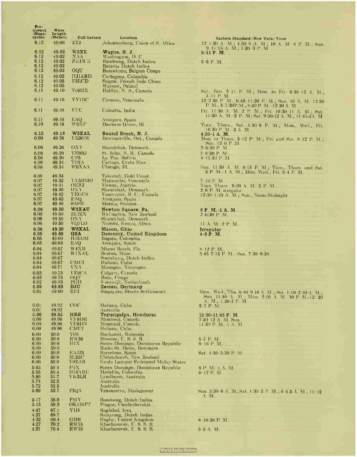| $r_{re}$<br>quency<br>(Mega- | Wave<br>Length |                             |                                                                                                                  |                                                                                                                                                                                                                                                        |
|------------------------------|----------------|-----------------------------|------------------------------------------------------------------------------------------------------------------|--------------------------------------------------------------------------------------------------------------------------------------------------------------------------------------------------------------------------------------------------------|
| cycles)                      | (Meters)       | <b>Call Letters</b>         | Location                                                                                                         | Eastern Standard (New York) Time                                                                                                                                                                                                                       |
| 6.12                         | 49.00          | ZТJ                         | Johannesburg, Union of S. Africa                                                                                 | 12 1:30 A. M.; 4.30 8 A. M.; 10 A. M. 4 P. M.; Sun.                                                                                                                                                                                                    |
| 6.12                         | 49.02          | W2XE                        |                                                                                                                  | 9 11:15 A. M.; 1:30 3 P. M.                                                                                                                                                                                                                            |
| 6.12<br>6.12                 | 49.02<br>49.02 | NAA<br>PKIWK                | Washington, D. C                                                                                                 |                                                                                                                                                                                                                                                        |
| 6.12                         | 49.02          |                             | Bandoeng, Dutch Indies<br>Batavia Dutch Indies                                                                   |                                                                                                                                                                                                                                                        |
| 6.12                         | 49.02          | OQU                         | Basankusu, Belgian Congo                                                                                         |                                                                                                                                                                                                                                                        |
| 6.12<br>6.12                 | 49.02<br>49.05 | <b>HJIABD</b><br>F3LCD      | Cartegena, Colombia<br>Saigon, French Indo China                                                                 |                                                                                                                                                                                                                                                        |
| 6.12                         | 49.05          |                             | Warsaw, Poland                                                                                                   |                                                                                                                                                                                                                                                        |
| 6.11                         | 49.10          | Ve9HX                       | Halifax, N. S., Canada                                                                                           | Sat., Sun. 5 11 P. M.; Mon. to Fri. 9:30 12 A. M.,                                                                                                                                                                                                     |
| 6.11                         | 49.10          | <b>YV1BC</b>                | Caracas, Venezuela                                                                                               | 12–2<br>30–P. M , 6:45–11:30–P. M ,; Sun. 10–A. M. 12:30                                                                                                                                                                                               |
| 6.11                         | 49.10          | <b>VUC</b>                  |                                                                                                                  | P. M., 3-7:30P.M., 8:30 P. M. 12:30 A. M.<br>Fri. 11:30 A. M. 2 P. M.; Fri. 10:30 11 A. M.; Sat.                                                                                                                                                       |
| 6.11                         | 49.10          | EAQ.<br>W9NF                |                                                                                                                  | 11:30 A. M. 5 P. M; Sat. 9:30-12 A. M., 11:45-3A. M.                                                                                                                                                                                                   |
| 6.10                         | 49.18          |                             |                                                                                                                  | Tucs., Thurs., Sat. 4:30 8 P. M.; Mon., Wed., Fri.<br>10.30 P. M. 3 A. M.                                                                                                                                                                              |
| 6.10<br>6.09                 | 49.18<br>49.26 | W3XAL<br>VE9GW              | Bowmanville, Ont., Canada                                                                                        | Mon. to Thurs. 3 12 P. M.; Fri. and Sat. 8 12 P. M.;<br>Sun. 12 9 P. M.                                                                                                                                                                                |
| 6.09                         | 49.26          | OXY                         | Skamlebak, Denmark                                                                                               |                                                                                                                                                                                                                                                        |
| 6.09<br>6.08                 | 49.29<br>49.30 | VE9BJ<br>CP5                | St. John, N. B., Canada<br>La Paz. Bolivia                                                                       |                                                                                                                                                                                                                                                        |
| 6.08                         | 49.34          | TIRA                        |                                                                                                                  |                                                                                                                                                                                                                                                        |
| 6.08                         | 49.34          | W9XAA                       |                                                                                                                  | Sun. 11:30 A. M. 9:15 P. M.; Tues., Thurs. and Sat.<br>3 P. M. 1 A. M.; Mon. Wed., Fri. 3 4 P. M.                                                                                                                                                      |
| 6.08<br>6.07                 | 49.34<br>49.32 | YV5BMO                      | Takoradi, Gold Coast<br>Maracaibo, Venezuela                                                                     |                                                                                                                                                                                                                                                        |
| 6.07                         | 49.41          | OER2                        |                                                                                                                  |                                                                                                                                                                                                                                                        |
| 6.07<br>6.07                 | 49.40<br>49.42 | 0XY<br><b>VEGCS</b>         | Skamlebak, Denmark                                                                                               | $12.30-1.45$ A. M.; Sun., Noon-Midnight                                                                                                                                                                                                                |
| 6.07                         | 49.42          | EAQ.                        |                                                                                                                  |                                                                                                                                                                                                                                                        |
| 6.07<br>6.06                 | 49.46<br>49.50 | SASH<br>W3XAU               | Motola, Sweden<br>Newton Square, Pa.                                                                             | 8 P. M.-1 A. M.                                                                                                                                                                                                                                        |
| 6.06                         | 49.50          | Z1.2ZX                      | Wellington, New Zealand                                                                                          |                                                                                                                                                                                                                                                        |
| 6.06<br>6.06                 | 49.50<br>49.50 | OXY<br>VQ7LO                | Skamlebak, Denmark<br>Nairobi, Kenya, Africa                                                                     |                                                                                                                                                                                                                                                        |
| 6.06                         | 49.50          | W8XAL                       |                                                                                                                  |                                                                                                                                                                                                                                                        |
| 6.05                         | 49.59          | <b>GSA</b><br><b>HJ3ABI</b> | Daventry, United Kingdom                                                                                         |                                                                                                                                                                                                                                                        |
| 6.05<br>6.05                 | 49.60<br>49.63 | EAQ.                        | Bogota, Colombia                                                                                                 |                                                                                                                                                                                                                                                        |
| 6.04                         | 49.67          | W4XB                        | Miami Beach, Fla                                                                                                 |                                                                                                                                                                                                                                                        |
| 6.04<br>6.04                 | 49.67<br>49.67 | <b>WIXAL</b>                | Soerabaya, Dutch Indies                                                                                          |                                                                                                                                                                                                                                                        |
| 6.04                         | 49.67          | <b>CMCT</b>                 |                                                                                                                  |                                                                                                                                                                                                                                                        |
| 6.04<br>6.03                 | 49.71<br>49.75 | YNA<br>VE9CA                | Managua, Nicaragua                                                                                               |                                                                                                                                                                                                                                                        |
| 6.03                         | 49.75          | OQT                         |                                                                                                                  |                                                                                                                                                                                                                                                        |
| 6.02<br>6.02                 | 49.83<br>49.83 | PGD<br>DJC                  |                                                                                                                  |                                                                                                                                                                                                                                                        |
| 6.01                         | 49.90          | ZHI                         | Singaj ore, Straits Settlements.                                                                                 | Mon., Wed., Thu. 6:40-9.10 A. M.; Sat. 1:10-2:10 A. M.;<br>Sun. 11:40 A. M.; Mon. 2:10 A. M. 10 P. M.-12:30                                                                                                                                            |
| 6.01                         | 49.92          | COC.                        | Habana, Cuba                                                                                                     |                                                                                                                                                                                                                                                        |
| 6.01<br>6.00                 | 49.92<br>49.93 | <b>HRB</b>                  | Australia<br>and a series of the series of the series of the series of<br>Tegucigalpa, Honduras and Marian Maria | e e e e e e e estadounidad de la característica de la característica de la característica de la característic<br>12:30-11:45 P. M.                                                                                                                     |
| 6.00<br>6.00                 | 49.96<br>49.96 | VF9DR<br>VE9DN              | Montreal, Canada<br>Montreal, Canada                                                                             |                                                                                                                                                                                                                                                        |
| 6.00                         | 49.96          | <b>CAICI</b>                |                                                                                                                  | 11:30 P. M. $\pm$ A. M.<br>the company of the company of the company of                                                                                                                                                                                |
| 6.00                         | 50.0           | YOI                         | Bucharest, Rumania                                                                                               | <u>a de estas pode la caractería de la caractería de la caractería de la caractería de la caractería de la caracterí</u>                                                                                                                               |
| 6.00<br>6.00                 | 50.0<br>50.0   | <b>RW59</b><br>ШX           | Moseow, U.S.S.R<br>Santo Domingo, Dominican Republic                                                             |                                                                                                                                                                                                                                                        |
| 6.00                         | 50.0           |                             | Radio St. Denis, Renunion                                                                                        |                                                                                                                                                                                                                                                        |
| 6.00<br>6.00                 | 50.0<br>50.0   | EAJ25<br>31.32C             | Barcelona, Spain<br>Christehurch, New Zealand                                                                    | Sat. 4:30 5:30 P. M.<br>and an experimental comparison of the companies of the companies of the companies of the companies of the companies of the companies of the companies of the companies of the companies of the companies of the companies of t |
| 6.00                         | 50.0           | <b>VSZAB</b>                | Kuala Lumpur Federated Malay States                                                                              | المناقصين المتراكبين المتنادر المناولات المتنبين ووقوعها والمتح                                                                                                                                                                                        |
| 5.95<br>5.95                 | 50.4<br>50.4   | FIX<br>11.14 <b>ABE</b>     | Santo Domingo, Dominican Republic<br>Medellin, Colombia                                                          |                                                                                                                                                                                                                                                        |
| 5.80                         | 51.7           | VK3LR                       | Lyndhurst, Australia                                                                                             |                                                                                                                                                                                                                                                        |
| 5.74<br>5.72                 | 52.3<br>52.5   |                             | Australia<br>Australia                                                                                           |                                                                                                                                                                                                                                                        |
| 5.69                         | 52.7           | <b>FIQA</b>                 | Tananariva, Madagascar.                                                                                          | Sun. 5:30-6 A. M; Sat. 1:30-3 P. M.; 4 4:5 A. M., 11-12                                                                                                                                                                                                |
| 5.17                         | 58.0           | PMY                         | Bandoeng, Dutch Indies.                                                                                          |                                                                                                                                                                                                                                                        |
| 5.15                         | 58.3           | OKIMPT                      | Prague, Czecheslovakia                                                                                           |                                                                                                                                                                                                                                                        |
| 4.47<br>4.37                 | 67.1<br>68.7   | YID                         | Samarang, Dutch Indies.                                                                                          |                                                                                                                                                                                                                                                        |
| 4.32                         | 69.4           | <b>GDB</b>                  |                                                                                                                  | 8 10:30 P. M. Harrison, and an arrived a contract of the set                                                                                                                                                                                           |
| 4.27<br>4.27                 | 70.2<br>70.4   | RWI5<br>RW15                | Kharbarovsk, U.S.S.R.                                                                                            |                                                                                                                                                                                                                                                        |
|                              |                |                             |                                                                                                                  |                                                                                                                                                                                                                                                        |

l,